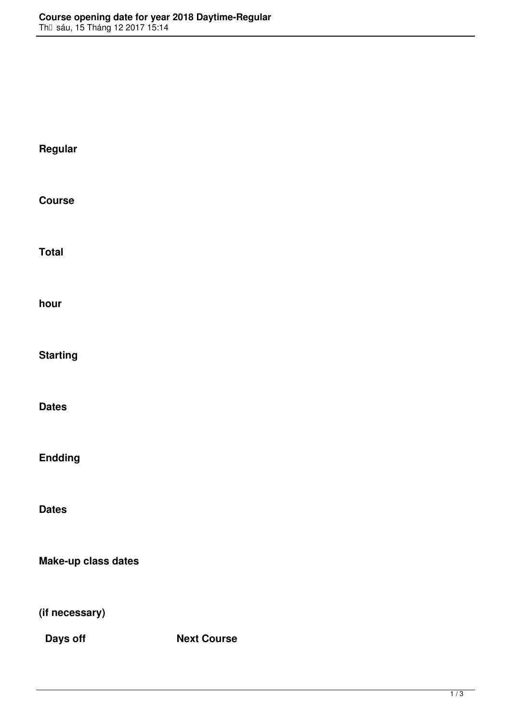**Regular Course Total hour Starting Dates Endding Dates Make-up class dates (if necessary) Days off Next Course**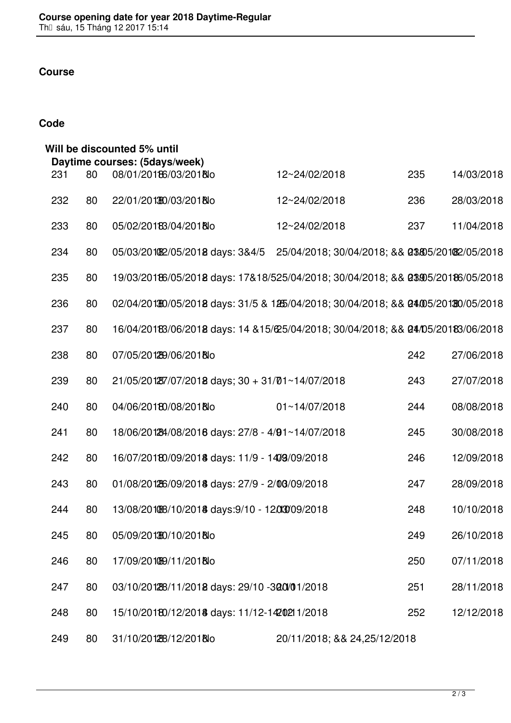## **Course**

## **Code**

| Will be discounted 5% until |     |    |                                                                                    |                                                |     |            |  |  |
|-----------------------------|-----|----|------------------------------------------------------------------------------------|------------------------------------------------|-----|------------|--|--|
|                             | 231 | 80 | Daytime courses: (5days/week)<br>08/01/20186/03/2018lo                             | 12~24/02/2018                                  | 235 | 14/03/2018 |  |  |
|                             | 232 | 80 | 22/01/201380/03/2018lo                                                             | 12~24/02/2018                                  | 236 | 28/03/2018 |  |  |
|                             | 233 | 80 | 05/02/20183/04/2018lo                                                              | 12~24/02/2018                                  | 237 | 11/04/2018 |  |  |
|                             | 234 | 80 | 05/03/2010 2/05/2018 days: 3&4/5                                                   | 25/04/2018; 30/04/2018; && 03805/20182/05/2018 |     |            |  |  |
|                             | 235 | 80 | 19/03/20186/05/2018 days: 17&18/525/04/2018; 30/04/2018; && 03905/20186/05/2018    |                                                |     |            |  |  |
|                             | 236 | 80 | 02/04/201300/05/2018 days: 31/5 & 1265/04/2018; 30/04/2018; && 04/05/20130/05/2018 |                                                |     |            |  |  |
|                             | 237 | 80 | 16/04/20183/06/2018 days: 14 & 15/625/04/2018; 30/04/2018; & & 04/05/20183/06/2018 |                                                |     |            |  |  |
|                             | 238 | 80 | 07/05/201289/06/2018lo                                                             |                                                | 242 | 27/06/2018 |  |  |
|                             | 239 | 80 | $21/05/20127/07/2018$ days; $30 + 31/01 \sim 14/07/2018$                           |                                                | 243 | 27/07/2018 |  |  |
|                             | 240 | 80 | 04/06/20180/08/2018lo                                                              | $01 - 14/07/2018$                              | 244 | 08/08/2018 |  |  |
|                             | 241 | 80 | 18/06/201294/08/2016 days: 27/8 - 4/91~14/07/2018                                  |                                                | 245 | 30/08/2018 |  |  |
|                             | 242 | 80 | 16/07/20180/09/2018 days: 11/9 - 1409/09/2018                                      |                                                | 246 | 12/09/2018 |  |  |
|                             | 243 | 80 | 01/08/201266/09/2018 days: 27/9 - 2/08/09/2018                                     |                                                | 247 | 28/09/2018 |  |  |
|                             | 244 | 80 | 13/08/20108/10/2018 days: 9/10 - 1203009/2018                                      |                                                | 248 | 10/10/2018 |  |  |
|                             | 245 | 80 | 05/09/201380/10/2018lo                                                             |                                                | 249 | 26/10/2018 |  |  |
|                             | 246 | 80 | 17/09/201089/11/2018lo                                                             |                                                | 250 | 07/11/2018 |  |  |
|                             | 247 | 80 | 03/10/20128/11/2018 days: 29/10 -300/01/2018                                       |                                                | 251 | 28/11/2018 |  |  |
|                             | 248 | 80 | 15/10/20180/12/2018 days: 11/12-1420211/2018                                       |                                                | 252 | 12/12/2018 |  |  |
|                             | 249 | 80 | 31/10/201288/12/2018lo                                                             | 20/11/2018; && 24,25/12/2018                   |     |            |  |  |